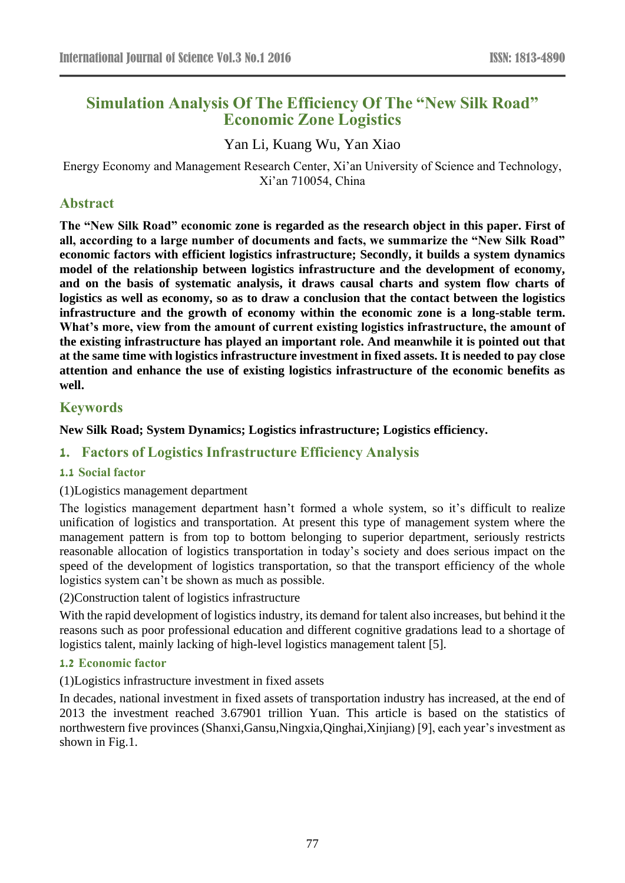# **Simulation Analysis Of The Efficiency Of The "New Silk Road" Economic Zone Logistics**

# Yan Li, Kuang Wu, Yan Xiao

Energy Economy and Management Research Center, Xi'an University of Science and Technology, Xi'an 710054, China

## **Abstract**

**The "New Silk Road" economic zone is regarded as the research object in this paper. First of all, according to a large number of documents and facts, we summarize the "New Silk Road" economic factors with efficient logistics infrastructure; Secondly, it builds a system dynamics model of the relationship between logistics infrastructure and the development of economy, and on the basis of systematic analysis, it draws causal charts and system flow charts of logistics as well as economy, so as to draw a conclusion that the contact between the logistics infrastructure and the growth of economy within the economic zone is a long-stable term. What's more, view from the amount of current existing logistics infrastructure, the amount of the existing infrastructure has played an important role. And meanwhile it is pointed out that at the same time with logistics infrastructure investment in fixed assets. It is needed to pay close attention and enhance the use of existing logistics infrastructure of the economic benefits as well.**

# **Keywords**

**New Silk Road; System Dynamics; Logistics infrastructure; Logistics efficiency.**

# **1. Factors of Logistics Infrastructure Efficiency Analysis**

#### **1.1 Social factor**

#### (1)Logistics management department

The logistics management department hasn't formed a whole system, so it's difficult to realize unification of logistics and transportation. At present this type of management system where the management pattern is from top to bottom belonging to superior department, seriously restricts reasonable allocation of logistics transportation in today's society and does serious impact on the speed of the development of logistics transportation, so that the transport efficiency of the whole logistics system can't be shown as much as possible.

(2)Construction talent of logistics infrastructure

With the rapid development of logistics industry, its demand for talent also increases, but behind it the reasons such as poor professional education and different cognitive gradations lead to a shortage of logistics talent, mainly lacking of high-level logistics management talent [5].

#### **1.2 Economic factor**

(1)Logistics infrastructure investment in fixed assets

In decades, national investment in fixed assets of transportation industry has increased, at the end of 2013 the investment reached 3.67901 trillion Yuan. This article is based on the statistics of northwestern five provinces (Shanxi,Gansu,Ningxia,Qinghai,Xinjiang) [9], each year's investment as shown in Fig.1.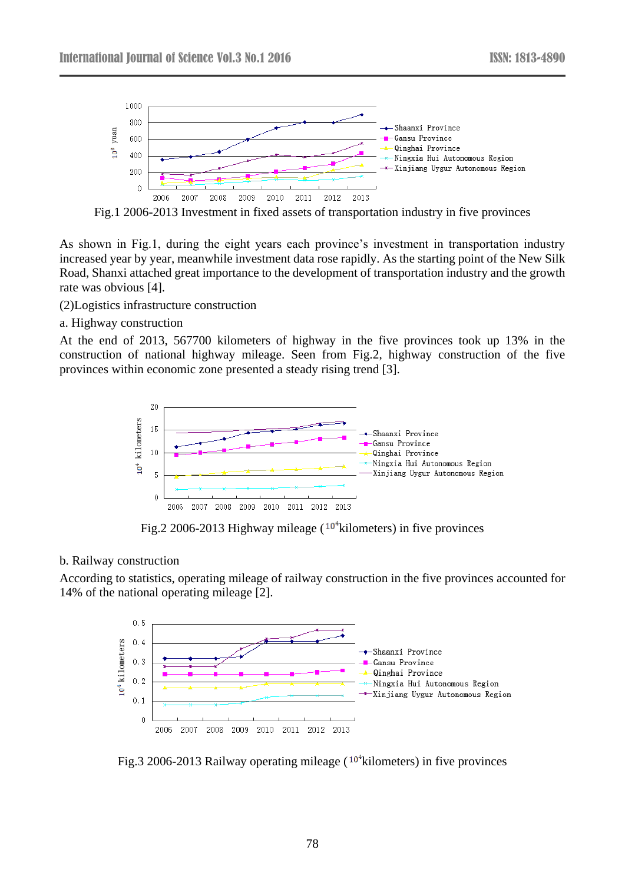

Fig.1 2006-2013 Investment in fixed assets of transportation industry in five provinces

As shown in Fig.1, during the eight years each province's investment in transportation industry increased year by year, meanwhile investment data rose rapidly. As the starting point of the New Silk Road, Shanxi attached great importance to the development of transportation industry and the growth rate was obvious [4].

(2)Logistics infrastructure construction

a. Highway construction

At the end of 2013, 567700 kilometers of highway in the five provinces took up 13% in the construction of national highway mileage. Seen from Fig.2, highway construction of the five provinces within economic zone presented a steady rising trend [3].



Fig.2 2006-2013 Highway mileage  $(10^4 \text{kilometers})$  in five provinces

#### b. Railway construction

According to statistics, operating mileage of railway construction in the five provinces accounted for 14% of the national operating mileage [2].



Fig.3 2006-2013 Railway operating mileage  $(10^4$ kilometers) in five provinces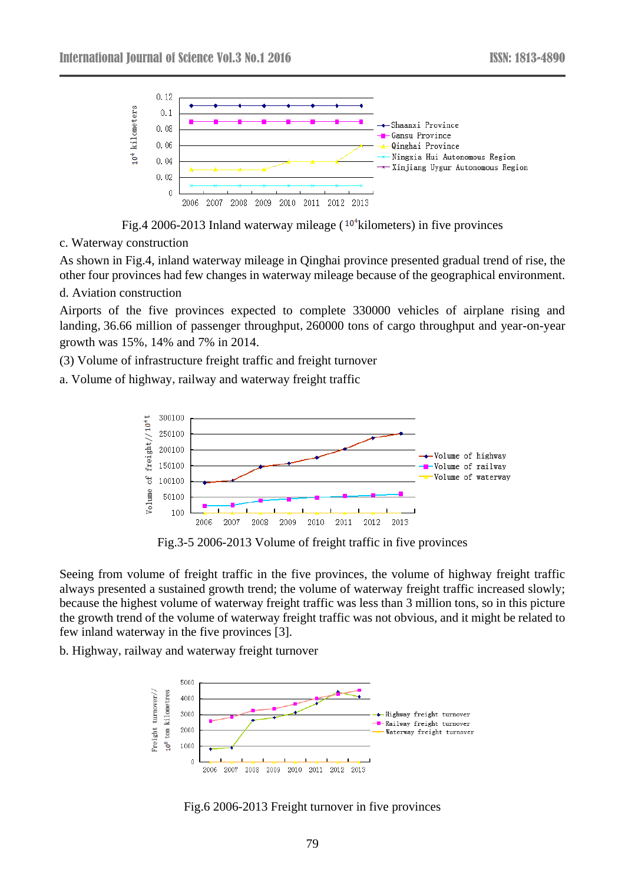

Fig.4 2006-2013 Inland waterway mileage  $(10^4 \text{kilometers})$  in five provinces

c. Waterway construction

As shown in Fig.4, inland waterway mileage in Qinghai province presented gradual trend of rise, the other four provinces had few changes in waterway mileage because of the geographical environment.

d. Aviation construction

Airports of the five provinces expected to complete 330000 vehicles of airplane rising and landing,36.66 million of passenger throughput,260000 tons of cargo throughput and year-on-year growth was 15%,14% and 7% in 2014.

(3) Volume of infrastructure freight traffic and freight turnover

a. Volume of highway, railway and waterway freight traffic



Fig.3-5 2006-2013 Volume of freight traffic in five provinces

Seeing from volume of freight traffic in the five provinces, the volume of highway freight traffic always presented a sustained growth trend; the volume of waterway freight traffic increased slowly; because the highest volume of waterway freight traffic was less than 3 million tons, so in this picture the growth trend of the volume of waterway freight traffic was not obvious, and it might be related to few inland waterway in the five provinces [3].

b. Highway, railway and waterway freight turnover



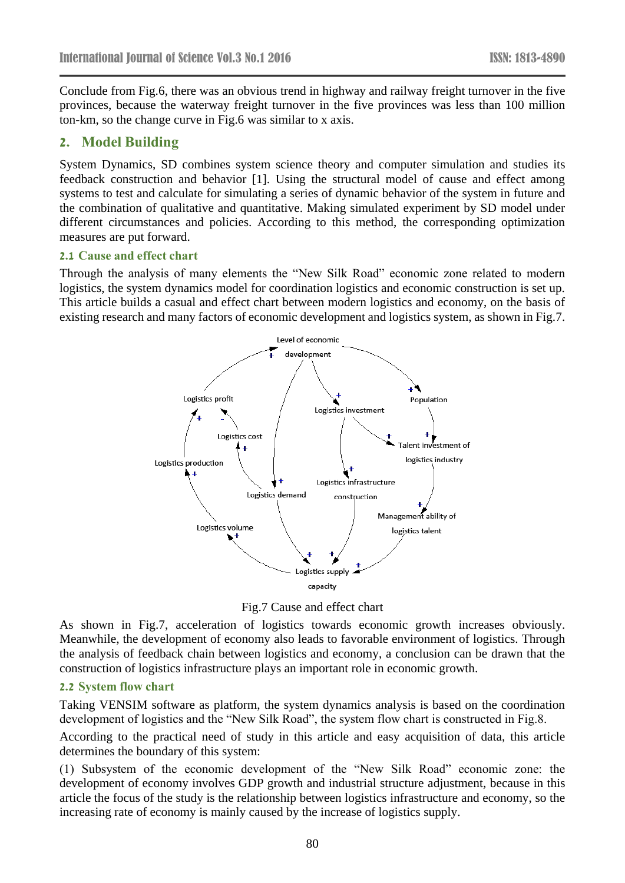Conclude from Fig.6, there was an obvious trend in highway and railway freight turnover in the five provinces, because the waterway freight turnover in the five provinces was less than 100 million ton-km, so the change curve in Fig.6 was similar to x axis.

# **2. Model Building**

System Dynamics, SD combines system science theory and computer simulation and studies its feedback construction and behavior [1]. Using the structural model of cause and effect among systems to test and calculate for simulating a series of dynamic behavior of the system in future and the combination of qualitative and quantitative. Making simulated experiment by SD model under different circumstances and policies. According to this method, the corresponding optimization measures are put forward.

#### **2.1 Cause and effect chart**

Through the analysis of many elements the "New Silk Road" economic zone related to modern logistics, the system dynamics model for coordination logistics and economic construction is set up. This article builds a casual and effect chart between modern logistics and economy, on the basis of existing research and many factors of economic development and logistics system, as shown in Fig.7.



Fig.7 Cause and effect chart

As shown in Fig.7, acceleration of logistics towards economic growth increases obviously. Meanwhile, the development of economy also leads to favorable environment of logistics. Through the analysis of feedback chain between logistics and economy, a conclusion can be drawn that the construction of logistics infrastructure plays an important role in economic growth.

#### **2.2 System flow chart**

Taking VENSIM software as platform, the system dynamics analysis is based on the coordination development of logistics and the "New Silk Road", the system flow chart is constructed in Fig.8.

According to the practical need of study in this article and easy acquisition of data, this article determines the boundary of this system:

(1) Subsystem of the economic development of the "New Silk Road" economic zone: the development of economy involves GDP growth and industrial structure adjustment, because in this article the focus of the study is the relationship between logistics infrastructure and economy, so the increasing rate of economy is mainly caused by the increase of logistics supply.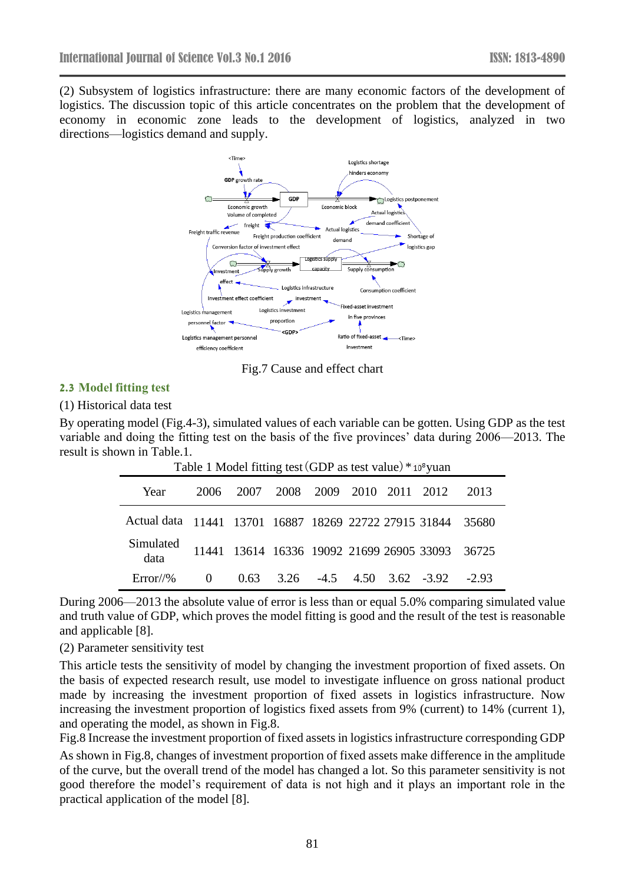(2) Subsystem of logistics infrastructure: there are many economic factors of the development of logistics. The discussion topic of this article concentrates on the problem that the development of economy in economic zone leads to the development of logistics, analyzed in two directions—logistics demand and supply.



Fig.7 Cause and effect chart

# **2.3 Model fitting test**

#### (1) Historical data test

By operating model (Fig.4-3), simulated values of each variable can be gotten. Using GDP as the test variable and doing the fitting test on the basis of the five provinces' data during 2006—2013. The result is shown in Table.1.

| Table 1 Model fitting test (GDP as test value) *10° yuan    |          |      |                          |  |  |  |                                                 |         |
|-------------------------------------------------------------|----------|------|--------------------------|--|--|--|-------------------------------------------------|---------|
| Year                                                        | 2006     | 2007 | 2008 2009 2010 2011 2012 |  |  |  |                                                 | 2013    |
| Actual data 11441 13701 16887 18269 22722 27915 31844 35680 |          |      |                          |  |  |  |                                                 |         |
| Simulated<br>data                                           |          |      |                          |  |  |  | 11441 13614 16336 19092 21699 26905 33093 36725 |         |
| $Error//\%$                                                 | $\Omega$ |      |                          |  |  |  | $0.63$ $3.26$ $-4.5$ $4.50$ $3.62$ $-3.92$      | $-2.93$ |

During 2006—2013 the absolute value of error is less than or equal 5.0% comparing simulated value and truth value of GDP, which proves the model fitting is good and the result of the test is reasonable and applicable [8].

(2) Parameter sensitivity test

This article tests the sensitivity of model by changing the investment proportion of fixed assets. On the basis of expected research result, use model to investigate influence on gross national product made by increasing the investment proportion of fixed assets in logistics infrastructure. Now increasing the investment proportion of logistics fixed assets from 9% (current) to 14% (current 1), and operating the model, as shown in Fig.8.

Fig.8 Increase the investment proportion of fixed assets in logistics infrastructure corresponding GDP As shown in Fig.8, changes of investment proportion of fixed assets make difference in the amplitude of the curve, but the overall trend of the model has changed a lot. So this parameter sensitivity is not good therefore the model's requirement of data is not high and it plays an important role in the practical application of the model [8].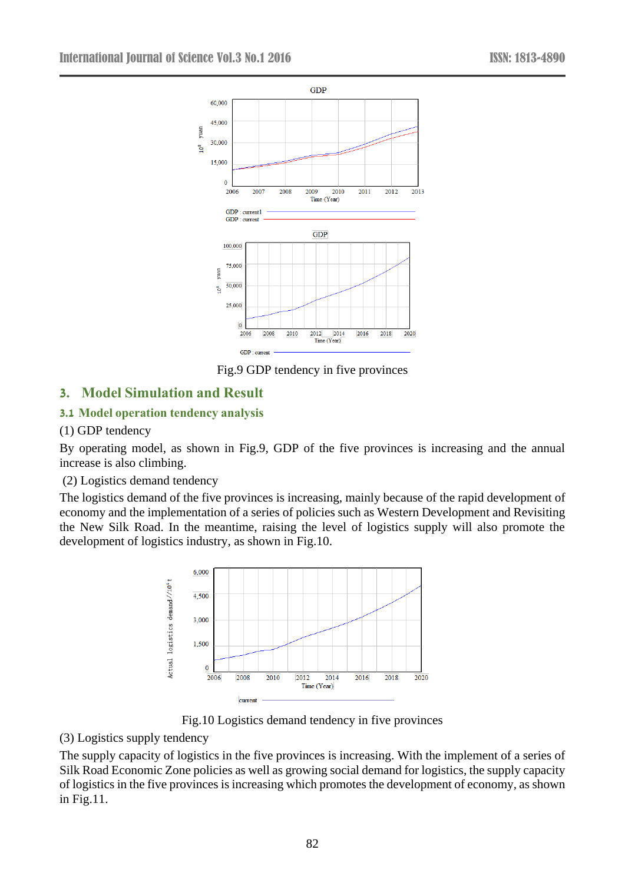

Fig.9 GDP tendency in five provinces

# **3. Model Simulation and Result**

# **3.1 Model operation tendency analysis**

### (1) GDP tendency

By operating model, as shown in Fig.9, GDP of the five provinces is increasing and the annual increase is also climbing.

#### (2) Logistics demand tendency

The logistics demand of the five provinces is increasing, mainly because of the rapid development of economy and the implementation of a series of policies such as Western Development and Revisiting the New Silk Road. In the meantime, raising the level of logistics supply will also promote the development of logistics industry, as shown in Fig.10.



Fig.10 Logistics demand tendency in five provinces

#### (3) Logistics supply tendency

The supply capacity of logistics in the five provinces is increasing. With the implement of a series of Silk Road Economic Zone policies as well as growing social demand for logistics, the supply capacity of logistics in the five provinces is increasing which promotes the development of economy, as shown in Fig.11.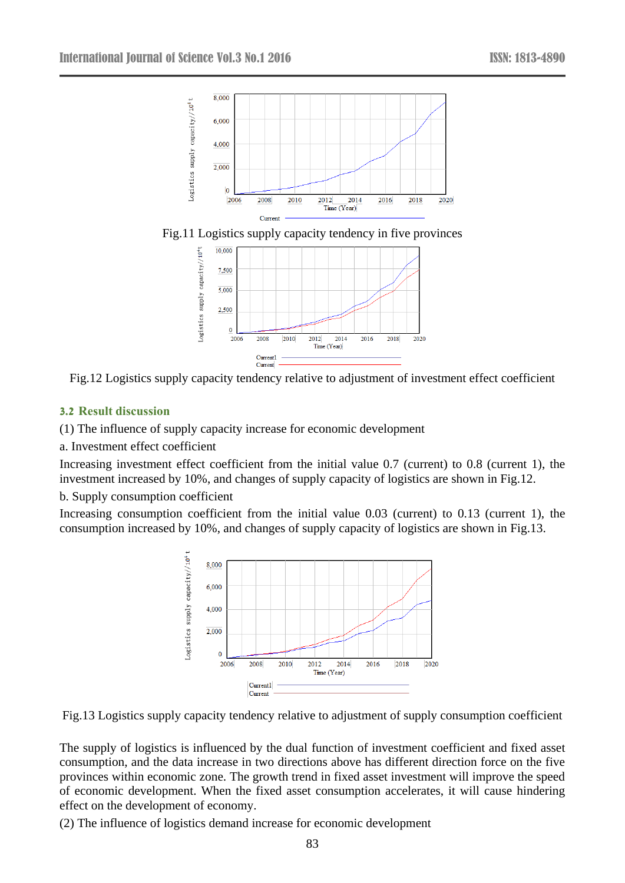





Fig.12 Logistics supply capacity tendency relative to adjustment of investment effect coefficient

# **3.2 Result discussion**

(1) The influence of supply capacity increase for economic development

a. Investment effect coefficient

Increasing investment effect coefficient from the initial value 0.7 (current) to 0.8 (current 1), the investment increased by 10%, and changes of supply capacity of logistics are shown in Fig.12.

#### b. Supply consumption coefficient

Increasing consumption coefficient from the initial value 0.03 (current) to 0.13 (current 1), the consumption increased by 10%, and changes of supply capacity of logistics are shown in Fig.13.





The supply of logistics is influenced by the dual function of investment coefficient and fixed asset consumption, and the data increase in two directions above has different direction force on the five provinces within economic zone. The growth trend in fixed asset investment will improve the speed of economic development. When the fixed asset consumption accelerates, it will cause hindering effect on the development of economy.

(2) The influence of logistics demand increase for economic development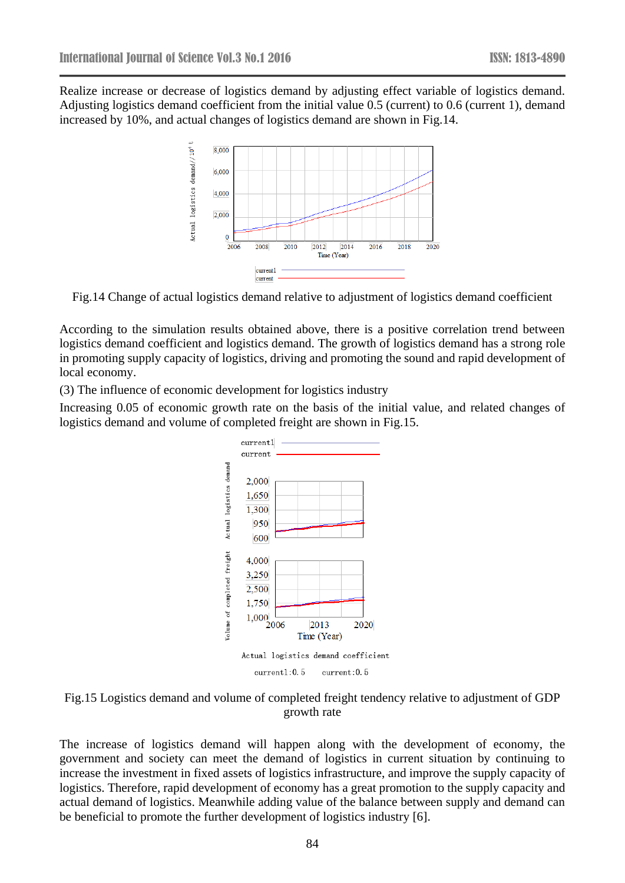Realize increase or decrease of logistics demand by adjusting effect variable of logistics demand. Adjusting logistics demand coefficient from the initial value 0.5 (current) to 0.6 (current 1), demand increased by 10%, and actual changes of logistics demand are shown in Fig.14.



Fig.14 Change of actual logistics demand relative to adjustment of logistics demand coefficient

According to the simulation results obtained above, there is a positive correlation trend between logistics demand coefficient and logistics demand. The growth of logistics demand has a strong role in promoting supply capacity of logistics, driving and promoting the sound and rapid development of local economy.

(3) The influence of economic development for logistics industry

Increasing 0.05 of economic growth rate on the basis of the initial value, and related changes of logistics demand and volume of completed freight are shown in Fig.15.



Fig.15 Logistics demand and volume of completed freight tendency relative to adjustment of GDP growth rate

The increase of logistics demand will happen along with the development of economy, the government and society can meet the demand of logistics in current situation by continuing to increase the investment in fixed assets of logistics infrastructure, and improve the supply capacity of logistics. Therefore, rapid development of economy has a great promotion to the supply capacity and actual demand of logistics. Meanwhile adding value of the balance between supply and demand can be beneficial to promote the further development of logistics industry [6].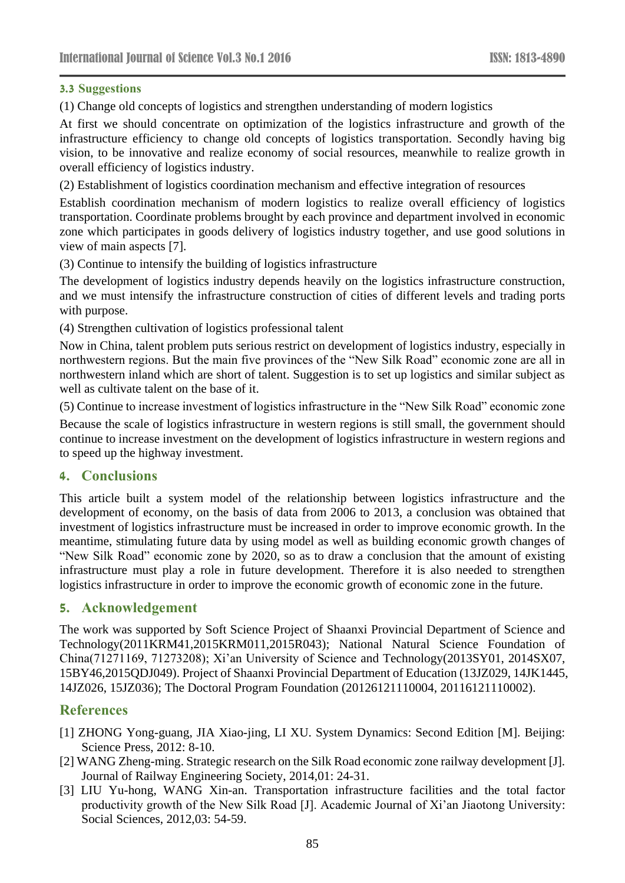# **3.3 Suggestions**

(1) Change old concepts of logistics and strengthen understanding of modern logistics

At first we should concentrate on optimization of the logistics infrastructure and growth of the infrastructure efficiency to change old concepts of logistics transportation. Secondly having big vision, to be innovative and realize economy of social resources, meanwhile to realize growth in overall efficiency of logistics industry.

(2) Establishment of logistics coordination mechanism and effective integration of resources

Establish coordination mechanism of modern logistics to realize overall efficiency of logistics transportation. Coordinate problems brought by each province and department involved in economic zone which participates in goods delivery of logistics industry together, and use good solutions in view of main aspects [7].

(3) Continue to intensify the building of logistics infrastructure

The development of logistics industry depends heavily on the logistics infrastructure construction, and we must intensify the infrastructure construction of cities of different levels and trading ports with purpose.

(4) Strengthen cultivation of logistics professional talent

Now in China, talent problem puts serious restrict on development of logistics industry, especially in northwestern regions. But the main five provinces of the "New Silk Road" economic zone are all in northwestern inland which are short of talent. Suggestion is to set up logistics and similar subject as well as cultivate talent on the base of it.

(5) Continue to increase investment of logistics infrastructure in the "New Silk Road" economic zone

Because the scale of logistics infrastructure in western regions is still small, the government should continue to increase investment on the development of logistics infrastructure in western regions and to speed up the highway investment.

# **4. Conclusions**

This article built a system model of the relationship between logistics infrastructure and the development of economy, on the basis of data from 2006 to 2013, a conclusion was obtained that investment of logistics infrastructure must be increased in order to improve economic growth. In the meantime, stimulating future data by using model as well as building economic growth changes of "New Silk Road" economic zone by 2020, so as to draw a conclusion that the amount of existing infrastructure must play a role in future development. Therefore it is also needed to strengthen logistics infrastructure in order to improve the economic growth of economic zone in the future.

# **5. Acknowledgement**

The work was supported by Soft Science Project of Shaanxi Provincial Department of Science and Technology(2011KRM41,2015KRM011,2015R043); National Natural Science Foundation of China(71271169, 71273208); Xi'an University of Science and Technology(2013SY01, 2014SX07, 15BY46,2015QDJ049). Project of Shaanxi Provincial Department of Education (13JZ029, 14JK1445, 14JZ026, 15JZ036); The Doctoral Program Foundation (20126121110004, 20116121110002).

# **References**

- [1] ZHONG Yong-guang, JIA Xiao-jing, LI XU. System Dynamics: Second Edition [M]. Beijing: Science Press, 2012: 8-10.
- [2] WANG Zheng-ming. Strategic research on the Silk Road economic zone railway development [J]. Journal of Railway Engineering Society, 2014,01: 24-31.
- [3] LIU Yu-hong, WANG Xin-an. Transportation infrastructure facilities and the total factor productivity growth of the New Silk Road [J]. Academic Journal of Xi'an Jiaotong University: Social Sciences, 2012,03: 54-59.